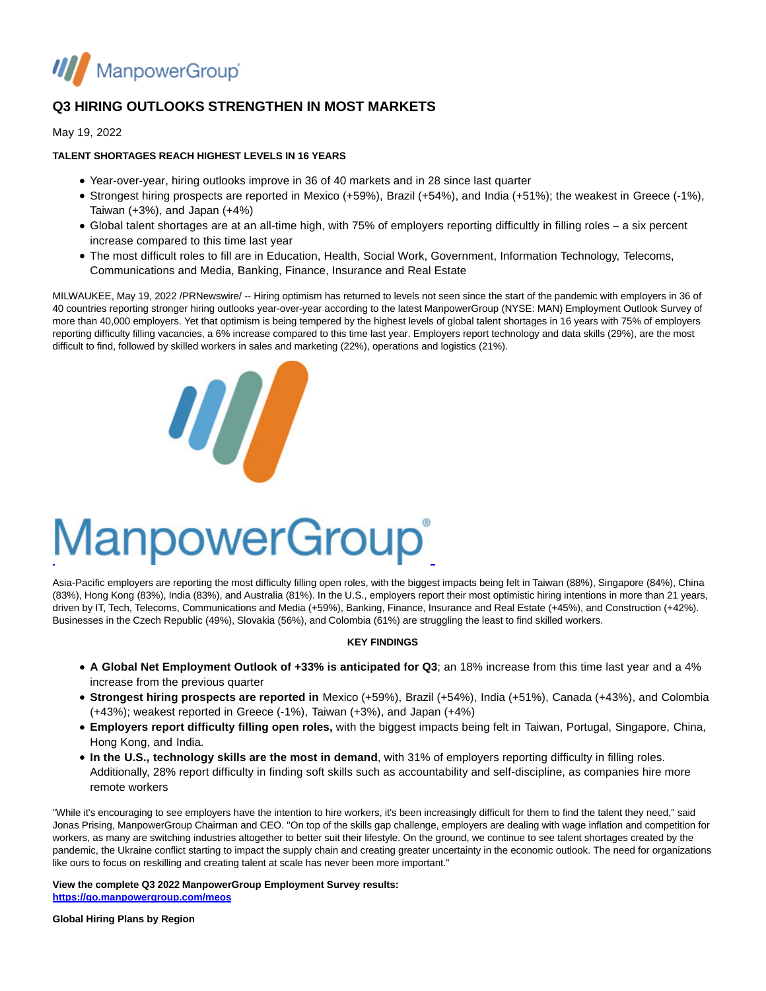

# **Q3 HIRING OUTLOOKS STRENGTHEN IN MOST MARKETS**

May 19, 2022

# **TALENT SHORTAGES REACH HIGHEST LEVELS IN 16 YEARS**

- Year-over-year, hiring outlooks improve in 36 of 40 markets and in 28 since last quarter
- Strongest hiring prospects are reported in Mexico (+59%), Brazil (+54%), and India (+51%); the weakest in Greece (-1%), Taiwan  $(+3%)$ , and Japan  $(+4%)$
- Global talent shortages are at an all-time high, with 75% of employers reporting difficultly in filling roles a six percent increase compared to this time last year
- The most difficult roles to fill are in Education, Health, Social Work, Government, Information Technology, Telecoms, Communications and Media, Banking, Finance, Insurance and Real Estate

MILWAUKEE, May 19, 2022 /PRNewswire/ -- Hiring optimism has returned to levels not seen since the start of the pandemic with employers in 36 of 40 countries reporting stronger hiring outlooks year-over-year according to the latest ManpowerGroup (NYSE: MAN) Employment Outlook Survey of more than 40,000 employers. Yet that optimism is being tempered by the highest levels of global talent shortages in 16 years with 75% of employers reporting difficulty filling vacancies, a 6% increase compared to this time last year. Employers report technology and data skills (29%), are the most difficult to find, followed by skilled workers in sales and marketing (22%), operations and logistics (21%).



# **ManpowerGroup**®

Asia-Pacific employers are reporting the most difficulty filling open roles, with the biggest impacts being felt in Taiwan (88%), Singapore (84%), China (83%), Hong Kong (83%), India (83%), and Australia (81%). In the U.S., employers report their most optimistic hiring intentions in more than 21 years, driven by IT, Tech, Telecoms, Communications and Media (+59%), Banking, Finance, Insurance and Real Estate (+45%), and Construction (+42%). Businesses in the Czech Republic (49%), Slovakia (56%), and Colombia (61%) are struggling the least to find skilled workers.

## **KEY FINDINGS**

- **A Global Net Employment Outlook of +33% is anticipated for Q3**; an 18% increase from this time last year and a 4% increase from the previous quarter
- **Strongest hiring prospects are reported in** Mexico (+59%), Brazil (+54%), India (+51%), Canada (+43%), and Colombia (+43%); weakest reported in Greece (-1%), Taiwan (+3%), and Japan (+4%)
- **Employers report difficulty filling open roles,** with the biggest impacts being felt in Taiwan, Portugal, Singapore, China, Hong Kong, and India.
- **In the U.S., technology skills are the most in demand**, with 31% of employers reporting difficulty in filling roles. Additionally, 28% report difficulty in finding soft skills such as accountability and self-discipline, as companies hire more remote workers

"While it's encouraging to see employers have the intention to hire workers, it's been increasingly difficult for them to find the talent they need," said Jonas Prising, ManpowerGroup Chairman and CEO. "On top of the skills gap challenge, employers are dealing with wage inflation and competition for workers, as many are switching industries altogether to better suit their lifestyle. On the ground, we continue to see talent shortages created by the pandemic, the Ukraine conflict starting to impact the supply chain and creating greater uncertainty in the economic outlook. The need for organizations like ours to focus on reskilling and creating talent at scale has never been more important."

### **View the complete Q3 2022 ManpowerGroup Employment Survey results:**

**[https://go.manpowergroup.com/meos](https://c212.net/c/link/?t=0&l=en&o=3540625-1&h=1264056634&u=https%3A%2F%2Fgo.manpowergroup.com%2Fmeos&a=https%3A%2F%2Fgo.manpowergroup.com%2Fmeos)**

**Global Hiring Plans by Region**